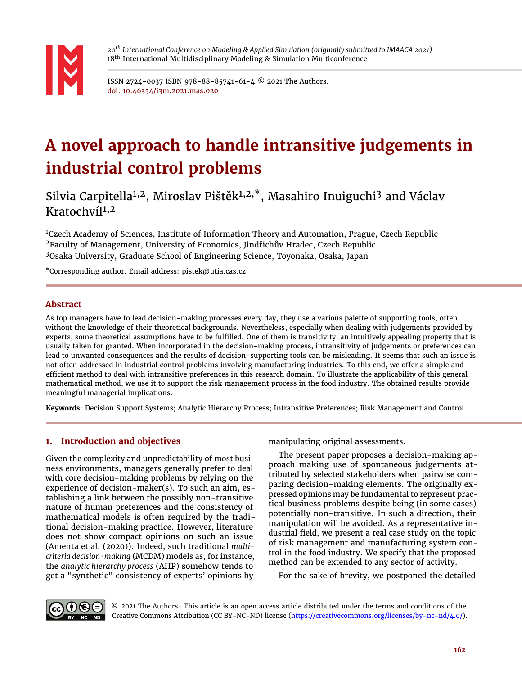

*20th International Conference on Modeling & Applied Simulation (originally submitted to IMAACA 2021)* 18<sup>th</sup> International Multidisciplinary Modeling & Simulation Multiconference

ISSN 2724-0037 ISBN 978-88-85741-61-4 © 2021 The Authors. doi: 10.46354/i3m.2021.mas.020

# **A novel approach to handle intransitive judgements in industrial control problems**

Silvia Carpitella<sup>1,2</sup>, Miroslav Pištěk<sup>1,2,\*</sup>, Masahiro Inuiguchi<sup>3</sup> and Václav Kratochví $1^{1,2}$ 

<sup>1</sup>Czech Academy of Sciences, Institute of Information Theory and Automation, Prague, Czech Republic <sup>2</sup>Faculty of Management, University of Economics, Jindřichův Hradec, Czech Republic <sup>3</sup>Osaka University, Graduate School of Engineering Science, Toyonaka, Osaka, Japan

\*Corresponding author. Email address: pistek@utia.cas.cz

## **Abstract**

As top managers have to lead decision-making processes every day, they use a various palette of supporting tools, often without the knowledge of their theoretical backgrounds. Nevertheless, especially when dealing with judgements provided by experts, some theoretical assumptions have to be fulfilled. One of them is transitivity, an intuitively appealing property that is usually taken for granted. When incorporated in the decision-making process, intransitivity of judgements or preferences can lead to unwanted consequences and the results of decision-supporting tools can be misleading. It seems that such an issue is not often addressed in industrial control problems involving manufacturing industries. To this end, we offer a simple and efficient method to deal with intransitive preferences in this research domain. To illustrate the applicability of this general mathematical method, we use it to support the risk management process in the food industry. The obtained results provide meaningful managerial implications.

**Keywords**: Decision Support Systems; Analytic Hierarchy Process; Intransitive Preferences; Risk Management and Control

# **1. Introduction and objectives**

Given the complexity and unpredictability of most business environments, managers generally prefer to deal with core decision-making problems by relying on the experience of decision-maker(s). To such an aim, establishing a link between the possibly non-transitive nature of human preferences and the consistency of mathematical models is often required by the traditional decision-making practice. However, literature does not show compact opinions on such an issue [\(Amenta et al.](#page-6-0) [\(2020\)](#page-6-0)). Indeed, such traditional *multicriteria decision-making* (MCDM) models as, for instance, the *analytic hierarchy process* (AHP) somehow tends to get a "synthetic" consistency of experts' opinions by

manipulating original assessments.

The present paper proposes a decision-making approach making use of spontaneous judgements attributed by selected stakeholders when pairwise comparing decision-making elements. The originally expressed opinions may be fundamental to represent practical business problems despite being (in some cases) potentially non-transitive. In such a direction, their manipulation will be avoided. As a representative industrial field, we present a real case study on the topic of risk management and manufacturing system control in the food industry. We specify that the proposed method can be extended to any sector of activity.

For the sake of brevity, we postponed the detailed



© 2021 The Authors. This article is an open access article distributed under the terms and conditions of the Creative Commons Attribution (CC BY-NC-ND) license [\(https://creativecommons.org/licenses/by-nc-nd/4.0/\)](https://creativecommons.org/licenses/by-nc-nd/4.0/.).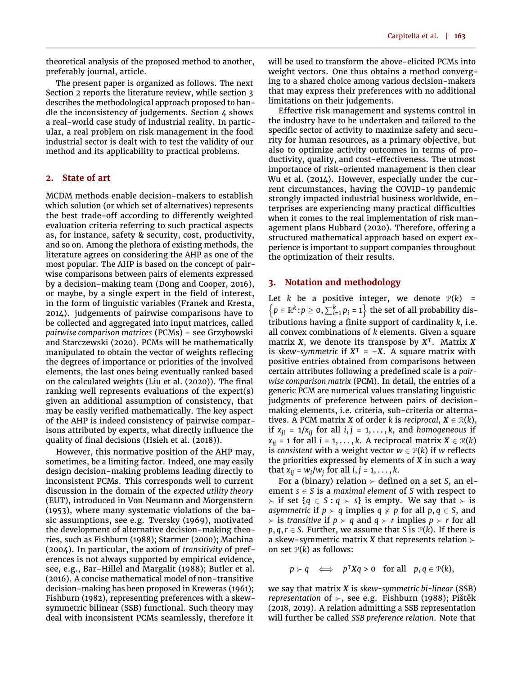theoretical analysis of the proposed method to another, preferably journal, article.

The present paper is organized as follows. The next Section 2 reports the literature review, while section 3 describes the methodological approach proposed to handle the inconsistency of judgements. Section 4 shows a real-world case study of industrial reality. In particular, a real problem on risk management in the food industrial sector is dealt with to test the validity of our method and its applicability to practical problems.

## **2. State of art**

MCDM methods enable decision-makers to establish which solution (or which set of alternatives) represents the best trade-off according to differently weighted evaluation criteria referring to such practical aspects as, for instance, safety & security, cost, productivity, and so on. Among the plethora of existing methods, the literature agrees on considering the AHP as one of the most popular. The AHP is based on the concept of pairwise comparisons between pairs of elements expressed by a decision-making team [\(Dong and Cooper,](#page-6-1) [2016\)](#page-6-1), or maybe, by a single expert in the field of interest, in the form of linguistic variables [\(Franek and Kresta,](#page-6-2) [2014\)](#page-6-2). judgements of pairwise comparisons have to be collected and aggregated into input matrices, called *pairwise comparison matrices* (PCMs) - see [Grzybowski](#page-6-3) [and Starczewski](#page-6-3) [\(2020\)](#page-6-3). PCMs will be mathematically manipulated to obtain the vector of weights reflecing the degrees of importance or priorities of the involved elements, the last ones being eventually ranked based on the calculated weights [\(Liu et al.](#page-6-4)  $(2020)$ ). The final ranking well represents evaluations of the expert(s) given an additional assumption of consistency, that may be easily verified mathematically. The key aspect of the AHP is indeed consistency of pairwise comparisons attributed by experts, what directly influence the quality of final decisions [\(Hsieh et al.](#page-6-5) [\(2018\)](#page-6-5)).

However, this normative position of the AHP may, sometimes, be a limiting factor. Indeed, one may easily design decision-making problems leading directly to inconsistent PCMs. This corresponds well to current discussion in the domain of the *expected utility theory* (EUT), introduced in [Von Neumann and Morgenstern](#page-7-0) [\(1953\)](#page-7-0), where many systematic violations of the basic assumptions, see e.g. [Tversky](#page-7-1) [\(1969\)](#page-7-1), motivated the development of alternative decision-making theories, such as [Fishburn](#page-6-6) [\(1988\)](#page-6-6); [Starmer](#page-7-2) [\(2000\)](#page-7-2); [Machina](#page-6-7) [\(2004\)](#page-6-7). In particular, the axiom of *transitivity* of preferences is not always supported by empirical evidence, see, e.g., [Bar-Hillel and Margalit](#page-6-8) [\(1988\)](#page-6-8); [Butler et al.](#page-6-9) [\(2016\)](#page-6-9). A concise mathematical model of non-transitive decision-making has been proposed in [Kreweras](#page-6-10) [\(1961\)](#page-6-10); [Fishburn](#page-6-11) [\(1982\)](#page-6-11), representing preferences with a skewsymmetric bilinear (SSB) functional. Such theory may deal with inconsistent PCMs seamlessly, therefore it

will be used to transform the above-elicited PCMs into weight vectors. One thus obtains a method converging to a shared choice among various decision-makers that may express their preferences with no additional limitations on their judgements.

Effective risk management and systems control in the industry have to be undertaken and tailored to the specific sector of activity to maximize safety and security for human resources, as a primary objective, but also to optimize activity outcomes in terms of productivity, quality, and cost-effectiveness. The utmost importance of risk-oriented management is then clear [Wu et al.](#page-7-3) [\(2014\)](#page-7-3). However, especially under the current circumstances, having the COVID-19 pandemic strongly impacted industrial business worldwide, enterprises are experiencing many practical difficulties when it comes to the real implementation of risk man-agement plans [Hubbard](#page-6-12) [\(2020\)](#page-6-12). Therefore, offering a structured mathematical approach based on expert experience is important to support companies throughout the optimization of their results.

## **3. Notation and methodology**

Let *k* be a positive integer, we denote  $P(k)$  =  $\left\{ p \in \mathbb{R}^k \colon p \geq 0, \sum_{i=1}^k p_i = 1 \right\}$  the set of all probability distributions having a finite support of cardinality *k*, i.e. all convex combinations of *k* elements. Given a square matrix *X*, we denote its transpose by *X* | . Matrix *X* is *skew-symmetric* if  $X^T = -X$ . A square matrix with positive entries obtained from comparisons between certain attributes following a predefined scale is a *pairwise comparison matrix* (PCM). In detail, the entries of a generic PCM are numerical values translating linguistic judgments of preference between pairs of decisionmaking elements, i.e. criteria, sub-criteria or alternatives. A PCM matrix *X* of order *k* is *reciprocal*,  $X \in \mathcal{R}(k)$ , if  $x_{ji} = 1/x_{ij}$  for all  $i, j = 1, \ldots, k$ , and *homogeneous* if  $x_{ii} = 1$  for all  $i = 1, ..., k$ . A reciprocal matrix  $X \in \mathcal{R}(k)$ is *consistent* with a weight vector  $w \in \mathcal{P}(k)$  if w reflects the priorities expressed by elements of *X* in such a way that  $x_{ij} = w_i/w_j$  for all  $i, j = 1, \ldots, k$ .

For a (binary) relation  $\succ$  defined on a set *S*, an element  $s \in S$  is a *maximal element* of *S* with respect to  $\succ$  if set {*q* ∈ *S* : *q*  $\succ$  *s*} is empty. We say that  $\succ$  is *asymmetric* if  $p \succ q$  implies  $q \not\vdash p$  for all  $p, q \in S$ , and  $\triangleright$  is *transitive* if  $p \triangleright q$  and  $q \triangleright r$  implies  $p \triangleright r$  for all  $p, q, r \in S$ . Further, we assume that *S* is  $P(k)$ . If there is a skew-symmetric matrix *X* that represents relation  $\succ$ on set  $P(k)$  as follows:

 $p \succ q \iff p^{\intercal} Xq > 0 \text{ for all } p, q \in \mathcal{P}(k),$ 

we say that matrix *X* is *skew-symmetric bi-linear* (SSB) *representation* of  $\succ$ , see e.g. [Fishburn](#page-6-6) [\(1988\)](#page-6-6); [Pištěk](#page-6-13) [\(2018,](#page-6-13) [2019\)](#page-6-14). A relation admitting a SSB representation will further be called *SSB preference relation*. Note that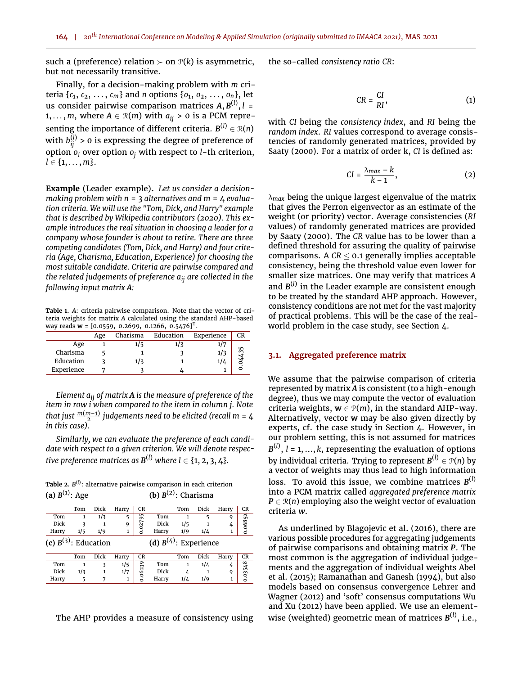such a (preference) relation  $\succ$  on  $\mathcal{P}(k)$  is asymmetric, but not necessarily transitive.

Finally, for a decision-making problem with *m* criteria {*c*1, *c*2, . . . , *cm*} and *n* options {*o*1, *o*2, . . . , *on*}, let us consider pairwise comparison matrices *A*, *B* (*l*) , *l* = 1, ..., *m*, where  $A \in \mathcal{R}(m)$  with  $a_{ij} > 0$  is a PCM representing the importance of different criteria.  $B^{(l)} \in \mathcal{R}(n)$ with  $b_{ij}^{(l)}$  > 0 is expressing the degree of preference of option *o<sup>i</sup>* over option *o<sup>j</sup>* with respect to *l*-th criterion,  $l \in \{1, \ldots, m\}.$ 

**Example** (Leader example)**.** *Let us consider a decisionmaking problem with n* = 3 *alternatives and m* = 4 *evaluation criteria. We will use the "Tom, Dick, and Harry" example that is described by [Wikipedia contributors](#page-7-4) [\(2020\)](#page-7-4). This example introduces the real situation in choosing a leader for a company whose founder is about to retire. There are three competing candidates (Tom, Dick, and Harry) and four criteria (Age, Charisma, Education, Experience) for choosing the most suitable candidate. Criteria are pairwise compared and the related judgements of preference aij are collected in the following input matrix A:*

<span id="page-2-0"></span>**Table 1.** *A*: criteria pairwise comparison. Note that the vector of criteria weights for matrix *A* calculated using the standard AHP-based way reads **w** = [0.0559, 0.2699, 0.1266, 0.5476]<sup>T</sup> .

|            | Age | Charisma | Education | Experience | CR |
|------------|-----|----------|-----------|------------|----|
| Age        |     | 1/5      |           |            |    |
| Charisma   |     |          |           |            |    |
| Education  |     | 1/3      |           | 174        |    |
| Experience |     |          |           |            |    |

*Element aij of matrix A is the measure of preference of the item in row i when compared to the item in column j. Note* that just  $\frac{m(m-1)}{2}$  judgements need to be elicited (recall m = 4 *in this case).*

*Similarly, we can evaluate the preference of each candidate with respect to a given criterion. We will denote respec*tive preference matrices as  $\textbf{B}^{(l)}$  where l  $\in$  {1, 2, 3, 4}*.* 

<span id="page-2-1"></span>**Table 2.** *B* (*l*) : alternative pairwise comparison in each criterion **(a)**  $B^{(1)}$ : Age **(b)**  $B^{(2)}$ : Charisma

|                           | Tom | Dick | Harry | CR      |                            | Tom | Dick | Harry | CR      |
|---------------------------|-----|------|-------|---------|----------------------------|-----|------|-------|---------|
| Tom                       | 1   | 1/3  | 5     |         | Tom                        |     | 5    | 9     |         |
| Dick                      |     |      | 9     | 0.02795 | Dick                       | 1/5 |      | 4     | 0.06852 |
| Harry                     | 1/5 | 1/9  |       |         | Harry                      | 1/9 | 1/4  |       |         |
| (c) $B^{(3)}$ : Education |     |      |       |         | (d) $B^{(4)}$ : Experience |     |      |       |         |
|                           | Tom | Dick | Harry | CR      |                            | Tom | Dick | Harry | CR      |
| Tom                       |     | 3    | 1/5   |         | Tom                        |     | 1/4  | 4     |         |
| Dick                      | 1/3 |      | 1/7   | 0.06239 | Dick                       | 4   |      | 9     | 0.03548 |
| Harry                     |     |      | 1     |         | Harry                      | 1/4 | 1/9  |       |         |

The AHP provides a measure of consistency using

the so-called *consistency ratio CR*:

$$
CR = \frac{CI}{RI},\tag{1}
$$

with *CI* being the *consistency index*, and *RI* being the *random index*. *RI* values correspond to average consistencies of randomly generated matrices, provided by [Saaty](#page-7-5) [\(2000\)](#page-7-5). For a matrix of order k, *CI* is defined as:

$$
CI = \frac{\lambda_{max} - k}{k - 1},
$$
 (2)

λ*max* being the unique largest eigenvalue of the matrix that gives the Perron eigenvector as an estimate of the weight (or priority) vector. Average consistencies (*RI* values) of randomly generated matrices are provided by [Saaty](#page-7-5) [\(2000\)](#page-7-5). The *CR* value has to be lower than a defined threshold for assuring the quality of pairwise comparisons. A  $CR \leq 0.1$  generally implies acceptable consistency, being the threshold value even lower for smaller size matrices. One may verify that matrices *A* and B<sup>(1)</sup> in the Leader example are consistent enough to be treated by the standard AHP approach. However, consistency conditions are not met for the vast majority of practical problems. This will be the case of the realworld problem in the case study, see Section [4.](#page-4-0)

#### **3.1. Aggregated preference matrix**

We assume that the pairwise comparison of criteria represented by matrix *A* is consistent (to a high-enough degree), thus we may compute the vector of evaluation criteria weights,  $w \in \mathcal{P}(m)$ , in the standard AHP-way. Alternatively, vector **w** may be also given directly by experts, cf. the case study in Section 4. However, in our problem setting, this is not assumed for matrices *B* (*l*) , *l* = 1, ..., *k*, representing the evaluation of options by individual criteria. Trying to represent *B* (*l*) ∈ P(*n*) by a vector of weights may thus lead to high information loss. To avoid this issue, we combine matrices *B* (*l*) into a PCM matrix called *aggregated preference matrix*  $P \in \mathcal{R}(n)$  employing also the weight vector of evaluation criteria *w*.

As underlined by [Blagojevic et al.](#page-6-15) [\(2016\)](#page-6-15), there are various possible procedures for aggregating judgements of pairwise comparisons and obtaining matrix *P*. The most common is the aggregation of individual judgements and the aggregation of individual weights [Abel](#page-6-16) [et al.](#page-6-16) [\(2015\)](#page-6-16); [Ramanathan and Ganesh](#page-7-6) [\(1994\)](#page-7-6), but also models based on consensus convergence [Lehrer and](#page-6-17) [Wagner](#page-6-17) [\(2012\)](#page-6-17) and 'soft' consensus computations [Wu](#page-7-7) [and Xu](#page-7-7) [\(2012\)](#page-7-7) have been applied. We use an elementwise (weighted) geometric mean of matrices *B* (*l*) , i.e.,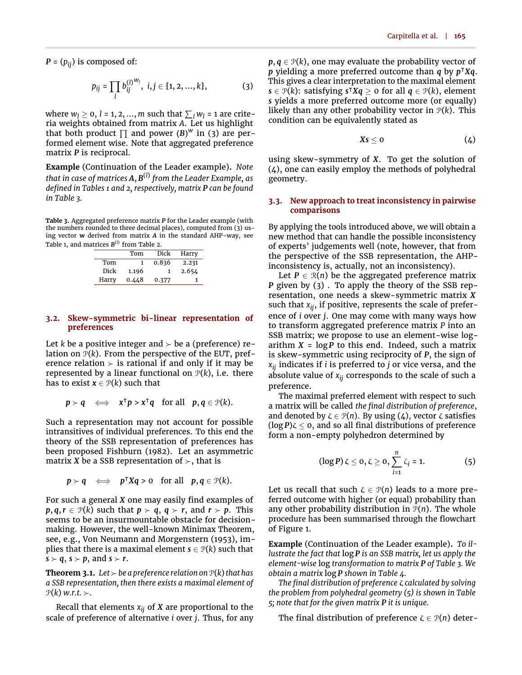$P = (p_{ii})$  is composed of:

<span id="page-3-0"></span>
$$
p_{ij} = \prod_l b_{ij}^{(l)}^{W_l}, \ i, j \in \{1, 2, ..., k\},
$$
 (3)

where  $w_l \ge 0$ ,  $l = 1, 2, ..., m$  such that  $\sum_l w_l = 1$  are criteria weights obtained from matrix *A*. Let us highlight that both product  $\prod$  and power (*B*)<sup>*w*</sup> in [\(3\)](#page-3-0) are performed element wise. Note that aggregated preference matrix *P* is reciprocal.

**Example** (Continuation of the Leader example)**.** *Note that in case of matrices A*, *B* (*l*) *from the Leader Example, as defined in Tables [1](#page-2-0) and [2,](#page-2-1) respectively, matrix P can be found in Table [3.](#page-3-1)*

<span id="page-3-1"></span>**Table 3.** Aggregated preference matrix *P* for the Leader example (with the numbers rounded to three decimal places), computed from [\(3\)](#page-3-0) using vector **w** derived from matrix *A* in the standard AHP-way, see Table [1,](#page-2-0) and matrices *B* (*l*) from Table [2.](#page-2-1)

|       | Tom   | Dick  | Harry |
|-------|-------|-------|-------|
| Tom   |       | 0.836 | 2.231 |
| Dick  | 1.196 |       | 2.654 |
| Harry | 0.448 | 0.377 |       |

#### **3.2. Skew-symmetric bi-linear representation of preferences**

Let *k* be a positive integer and  $\geq$  be a (preference) relation on  $P(k)$ . From the perspective of the EUT, preference relation  $\succ$  is rational if and only if it may be represented by a linear functional on  $P(k)$ , i.e. there has to exist  $x \in \mathcal{P}(k)$  such that

$$
p \succ q \quad \Longleftrightarrow \quad x^{\mathsf{T}} p > x^{\mathsf{T}} q \quad \text{for all} \quad p, q \in \mathcal{P}(k).
$$

Such a representation may not account for possible intransitives of individual preferences. To this end the theory of the SSB representation of preferences has been proposed [Fishburn](#page-6-11) [\(1982\)](#page-6-11). Let an asymmetric matrix *X* be a SSB representation of  $\succ$ , that is

 $p \succ q \iff p^{\top} X q > 0 \text{ for all } p, q \in \mathcal{P}(k).$ 

For such a general *X* one may easily find examples of  $p, q, r \in \mathcal{P}(k)$  such that  $p \succ q, q \succ r$ , and  $r \succ p$ . This seems to be an insurmountable obstacle for decisionmaking. However, the well-known Minimax Theorem, see, e.g., [Von Neumann and Morgenstern](#page-7-0) [\(1953\)](#page-7-0), implies that there is a maximal element  $s \in \mathcal{P}(k)$  such that  $s \succ q$ ,  $s \succ p$ , and  $s \succ r$ .

**Theorem 3.1.** Let  $\succ$  be a preference relation on  $\mathcal{P}(k)$  that has *a SSB representation, then there exists a maximal element of*  $\mathcal{P}(k)$  *w.r.t.*  $\succ$ .

Recall that elements *xij* of *X* are proportional to the scale of preference of alternative *i* over *j*. Thus, for any  $p, q \in \mathcal{P}(k)$ , one may evaluate the probability vector of *p* yielding a more preferred outcome than *q* by *p* <sup>|</sup>*Xq*. This gives a clear interpretation to the maximal element  $\mathbf{s} \in \mathcal{P}(k)$ : satisfying  $\mathbf{s}^\intercal X q \geq 0$  for all  $q \in \mathcal{P}(k)$ , element *s* yields a more preferred outcome more (or equally) likely than any other probability vector in  $P(k)$ . This condition can be equivalently stated as

<span id="page-3-2"></span>
$$
Xs\leq 0 \qquad \qquad (4)
$$

using skew-symmetry of *X*. To get the solution of [\(4\)](#page-3-2), one can easily employ the methods of polyhedral geometry.

#### **3.3. New approach to treat inconsistency in pairwise comparisons**

By applying the tools introduced above, we will obtain a new method that can handle the possible inconsistency of experts' judgements well (note, however, that from the perspective of the SSB representation, the AHPinconsistency is, actually, not an inconsistency).

Let  $P \in \mathcal{R}(n)$  be the aggregated preference matrix *P* given by [\(3\)](#page-3-0) . To apply the theory of the SSB representation, one needs a skew-symmetric matrix *X* such that *xij*, if positive, represents the scale of preference of *i* over *j*. One may come with many ways how to transform aggregated preference matrix *P* into an SSB matrix; we propose to use an element-wise logarithm  $X = \log P$  to this end. Indeed, such a matrix is skew-symmetric using reciprocity of *P*, the sign of *xij* indicates if *i* is preferred to *j* or vice versa, and the absolute value of *xij* corresponds to the scale of such a preference.

The maximal preferred element with respect to such a matrix will be called the final distribution of preference, and denoted by  $\zeta \in \mathcal{P}(n)$ . By using [\(4\)](#page-3-2), vector  $\zeta$  satisfies  $(\log P)\zeta \leq 0$ , and so all final distributions of preference form a non-empty polyhedron determined by

<span id="page-3-3"></span>
$$
(\log P) \zeta \le 0, \zeta \ge 0, \sum_{i=1}^{n} \zeta_i = 1.
$$
 (5)

Let us recall that such  $\zeta \in \mathcal{P}(n)$  leads to a more preferred outcome with higher (or equal) probability than any other probability distribution in  $P(n)$ . The whole procedure has been summarised through the flowchart of Figure [1.](#page-4-1)

**Example** (Continuation of the Leader example)**.** *To illustrate the fact that* log *P is an SSB matrix, let us apply the element-wise* log *transformation to matrix P of Table [3.](#page-3-1) We obtain a matrix* log *P shown in Table [4.](#page-4-2)*

*The final distribution of preference ζ calculated by solving the problem from polyhedral geometry [\(5\)](#page-3-3) is shown in Table [5;](#page-4-3) note that for the given matrix P it is unique.*

The final distribution of preference  $\zeta \in \mathcal{P}(n)$  deter-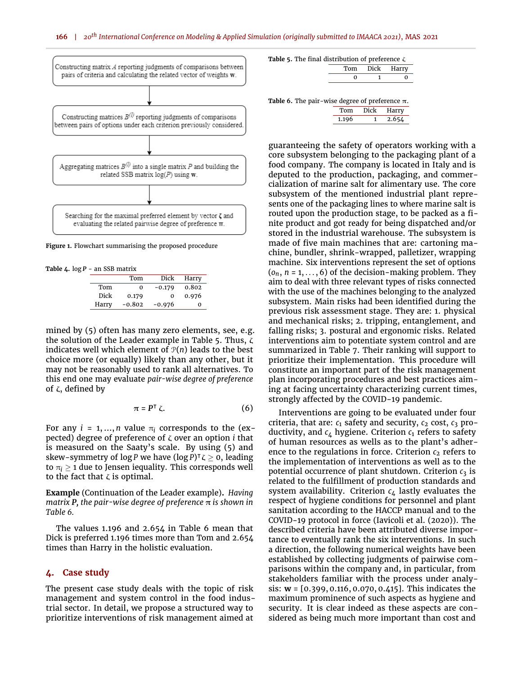<span id="page-4-1"></span>

**Figure 1.** Flowchart summarising the proposed procedure

<span id="page-4-2"></span>**Table 4.** log *P* - an SSB matrix

|       | Tom      | Dick     | Harry |
|-------|----------|----------|-------|
| Tom   | 0        | $-0.179$ | 0.802 |
| Dick  | 0.179    | 0        | 0.976 |
| Harry | $-0.802$ | $-0.976$ | 0     |

mined by [\(5\)](#page-3-3) often has many zero elements, see, e.g. the solution of the Leader example in Table [5.](#page-4-3) Thus, ζ indicates well which element of  $P(n)$  leads to the best choice more (or equally) likely than any other, but it may not be reasonably used to rank all alternatives. To this end one may evaluate *pair-wise degree of preference* of  $ζ$ , defined by

$$
\pi = P^{\mathsf{T}} \zeta. \tag{6}
$$

For any  $i = 1, ..., n$  value  $\pi_i$  corresponds to the (expected) degree of preference of ζ over an option *i* that is measured on the Saaty's scale. By using [\(5\)](#page-3-3) and skew-symmetry of  $\log P$  we have  $(\log P)^{\intercal} \zeta \geq 0$ , leading to  $\pi_i \geq 1$  due to Jensen iequality. This corresponds well to the fact that  $\zeta$  is optimal.

**Example** (Continuation of the Leader example)**.** *Having matrix P, the pair-wise degree of preference* π *is shown in Table [6.](#page-4-4)*

The values 1.196 and 2.654 in Table [6](#page-4-4) mean that Dick is preferred 1.196 times more than Tom and 2.654 times than Harry in the holistic evaluation.

#### <span id="page-4-0"></span>**4. Case study**

The present case study deals with the topic of risk management and system control in the food industrial sector. In detail, we propose a structured way to prioritize interventions of risk management aimed at

<span id="page-4-3"></span>

|  |  |  | <b>Table 5.</b> The final distribution of preference $\zeta$ |  |
|--|--|--|--------------------------------------------------------------|--|
|  |  |  |                                                              |  |

|  | $\overline{U}$ |
|--|----------------|
|  |                |

<span id="page-4-4"></span>**Table 6.** The pair-wise degree of preference  $\pi$ .

| Tom   | Dick | Harry |
|-------|------|-------|
| 1.196 |      | 2.654 |

guaranteeing the safety of operators working with a core subsystem belonging to the packaging plant of a food company. The company is located in Italy and is deputed to the production, packaging, and commercialization of marine salt for alimentary use. The core subsystem of the mentioned industrial plant represents one of the packaging lines to where marine salt is routed upon the production stage, to be packed as a finite product and got ready for being dispatched and/or stored in the industrial warehouse. The subsystem is made of five main machines that are: cartoning machine, bundler, shrink-wrapped, palletizer, wrapping machine. Six interventions represent the set of options  $(o_n, n = 1, \ldots, 6)$  of the decision-making problem. They aim to deal with three relevant types of risks connected with the use of the machines belonging to the analyzed subsystem. Main risks had been identified during the previous risk assessment stage. They are: 1. physical and mechanical risks; 2. tripping, entanglement, and falling risks; 3. postural and ergonomic risks. Related interventions aim to potentiate system control and are summarized in Table [7.](#page-5-0) Their ranking will support to prioritize their implementation. This procedure will constitute an important part of the risk management plan incorporating procedures and best practices aiming at facing uncertainty characterizing current times, strongly affected by the COVID-19 pandemic.

Interventions are going to be evaluated under four criteria, that are:  $c_1$  safety and security,  $c_2$  cost,  $c_3$  productivity, and  $c_4$  hygiene. Criterion  $c_1$  refers to safety of human resources as wells as to the plant's adherence to the regulations in force. Criterion  $c_2$  refers to the implementation of interventions as well as to the potential occurrence of plant shutdown. Criterion  $c_3$  is related to the fulfillment of production standards and system availability. Criterion  $c_4$  lastly evaluates the respect of hygiene conditions for personnel and plant sanitation according to the HACCP manual and to the COVID-19 protocol in force [\(Iavicoli et al.](#page-6-18) [\(2020\)](#page-6-18)). The described criteria have been attributed diverse importance to eventually rank the six interventions. In such a direction, the following numerical weights have been established by collecting judgments of pairwise comparisons within the company and, in particular, from stakeholders familiar with the process under analysis: **w** = [0.399, 0.116, 0.070, 0.415]. This indicates the maximum prominence of such aspects as hygiene and security. It is clear indeed as these aspects are considered as being much more important than cost and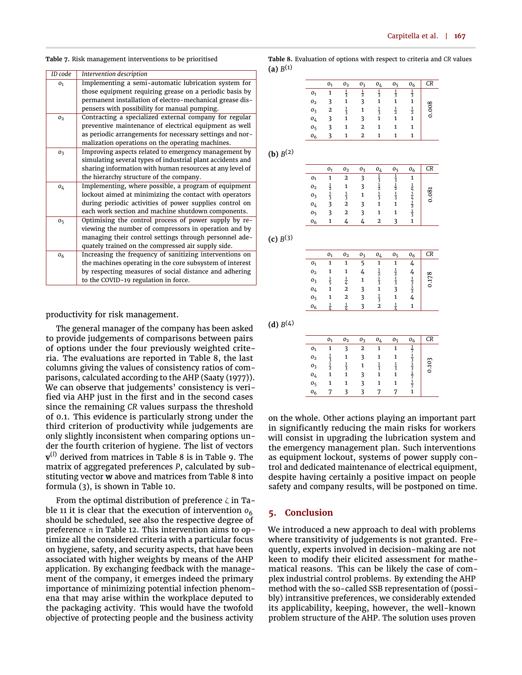<span id="page-5-0"></span>

| <b>Table 7.</b> Risk management interventions to be prioritised |  |  |  |
|-----------------------------------------------------------------|--|--|--|
|-----------------------------------------------------------------|--|--|--|

| ID code        | Intervention description                                   |
|----------------|------------------------------------------------------------|
| O <sub>1</sub> | Implementing a semi-automatic lubrication system for       |
|                | those equipment requiring grease on a periodic basis by    |
|                | permanent installation of electro-mechanical grease dis-   |
|                | pensers with possibility for manual pumping.               |
| 0 <sub>2</sub> | Contracting a specialized external company for regular     |
|                | preventive maintenance of electrical equipment as well     |
|                | as periodic arrangements for necessary settings and nor-   |
|                | malization operations on the operating machines.           |
| 0 <sub>3</sub> | Improving aspects related to emergency management by       |
|                | simulating several types of industrial plant accidents and |
|                | sharing information with human resources at any level of   |
|                | the hierarchy structure of the company.                    |
| 0 <sub>4</sub> | Implementing, where possible, a program of equipment       |
|                | lockout aimed at minimizing the contact with operators     |
|                | during periodic activities of power supplies control on    |
|                | each work section and machine shutdown components.         |
| 0 <sub>5</sub> | Optimising the control process of power supply by re-      |
|                | viewing the number of compressors in operation and by      |
|                | managing their control settings through personnel ade-     |
|                | quately trained on the compressed air supply side.         |
| 0 <sub>6</sub> | Increasing the frequency of sanitizing interventions on    |
|                | the machines operating in the core subsystem of interest   |
|                | by respecting measures of social distance and adhering     |
|                | to the COVID-19 regulation in force.                       |
|                |                                                            |

productivity for risk management.

The general manager of the company has been asked to provide judgements of comparisons between pairs of options under the four previously weighted criteria. The evaluations are reported in Table [8,](#page-5-1) the last columns giving the values of consistency ratios of comparisons, calculated according to the AHP [\(Saaty](#page-7-8) [\(1977\)](#page-7-8)). We can observe that judgements' consistency is veri fied via AHP just in the first and in the second cases since the remaining *CR* values surpass the threshold of 0.1. This evidence is particularly strong under the third criterion of productivity while judgements are only slightly inconsistent when comparing options under the fourth criterion of hygiene. The list of vectors **v** (*l*) derived from matrices in Table [8](#page-5-1) is in Table [9.](#page-6-19) The matrix of aggregated preferences *P*, calculated by substituting vector **w** above and matrices from Table [8](#page-5-1) into formula [\(3\)](#page-3-0), is shown in Table [10.](#page-6-20)

From the optimal distribution of preference  $\zeta$  in Ta-ble [11](#page-6-21) it is clear that the execution of intervention  $o_6$ should be scheduled, see also the respective degree of preference  $\pi$  in Table [12.](#page-6-22) This intervention aims to optimize all the considered criteria with a particular focus on hygiene, safety, and security aspects, that have been associated with higher weights by means of the AHP application. By exchanging feedback with the management of the company, it emerges indeed the primary importance of minimizing potential infection phenomena that may arise within the workplace deputed to the packaging activity. This would have the twofold objective of protecting people and the business activity

<span id="page-5-1"></span>**Table 8.** Evaluation of options with respect to criteria and *CR* values  $($ a)  $B^{(1)}$ 

|                  | 01 | 0 <sub>2</sub> | 0 <sub>3</sub> | 0 <sub>4</sub> | 0 <sub>5</sub> | 0 <sub>6</sub> | CR |
|------------------|----|----------------|----------------|----------------|----------------|----------------|----|
| 01               |    | $\frac{1}{3}$  | $\frac{1}{2}$  | $\frac{1}{3}$  |                | $\frac{1}{3}$  |    |
| 0 <sub>2</sub>   |    | 1              | 3              | 1              |                |                |    |
| 0 <sub>3</sub>   | 2  | $\frac{1}{3}$  |                | $\frac{1}{3}$  | $\frac{1}{2}$  | $\frac{1}{2}$  | ⌒  |
| 0 <sub>4</sub>   | 3  | 1              | 3              | 1              |                |                |    |
| 0 <sub>5</sub>   |    | 1              | 2              | 1              |                |                |    |
| $\mathfrak{o}_6$ |    |                | 2              |                |                |                |    |

**(b)**  $B^{(2)}$ 

|                | O <sub>1</sub> | 0 <sub>2</sub> | 0 <sub>3</sub> | 0 <sub>4</sub> | 0ς             | 0 <sub>6</sub> | CR |
|----------------|----------------|----------------|----------------|----------------|----------------|----------------|----|
| 01             |                | 2              | 2              | ㅎ              | ≑              |                |    |
| 0 <sub>2</sub> | $\frac{1}{2}$  |                |                | $\frac{1}{2}$  | $\frac{1}{2}$  | ,              |    |
| 03             | $\frac{1}{2}$  | $\overline{z}$ |                | $\frac{1}{3}$  | $\overline{z}$ |                |    |
| 04             | 3              | 2              |                |                |                | 츣              |    |
| Ο5             |                | 2              |                |                |                |                |    |
| 06             |                |                |                | 2              |                |                |    |

 $(c) B<sup>(3)</sup>$ 

|                | O <sub>1</sub> | 0 <sub>2</sub> | 0 <sub>3</sub> | $0_{\Delta}$  | 0 <sub>5</sub> | O <sub>6</sub> | CR    |
|----------------|----------------|----------------|----------------|---------------|----------------|----------------|-------|
| 01             |                |                | 5              |               |                |                |       |
| 0 <sub>2</sub> |                |                |                | $\frac{1}{2}$ | $\frac{1}{2}$  | 4              |       |
| 03             |                |                |                | $\frac{1}{3}$ | $\frac{1}{3}$  |                | 0.178 |
| 04             |                | 2              |                |               |                | 5.             |       |
| 0 <sub>5</sub> |                | 2              |                | $\frac{1}{3}$ |                |                |       |
| 0 <sub>6</sub> |                |                |                |               |                |                |       |

**(d)** *B* (4)

|                | O <sub>1</sub> | 0 <sub>2</sub> | О3             | 0 <sub>4</sub> | O <sub>5</sub> | O <sub>6</sub> | CR              |
|----------------|----------------|----------------|----------------|----------------|----------------|----------------|-----------------|
| 01             |                | 3              | $\overline{2}$ | 1              |                |                |                 |
| 0 <sub>2</sub> | $\frac{1}{2}$  |                | 3              |                |                | $\frac{1}{3}$  |                 |
| $0_3$          | $\frac{1}{2}$  | $\frac{1}{3}$  |                | $\frac{1}{3}$  |                |                | 10 <sup>2</sup> |
| 0 <sub>4</sub> |                |                |                |                |                |                | Ó               |
| 05             |                |                | 3              |                |                |                |                 |
| 0 <sub>6</sub> |                |                |                |                |                |                |                 |

on the whole. Other actions playing an important part in significantly reducing the main risks for workers will consist in upgrading the lubrication system and the emergency management plan. Such interventions as equipment lockout, systems of power supply control and dedicated maintenance of electrical equipment, despite having certainly a positive impact on people safety and company results, will be postponed on time.

### **5. Conclusion**

We introduced a new approach to deal with problems where transitivity of judgements is not granted. Frequently, experts involved in decision-making are not keen to modify their elicited assessment for mathematical reasons. This can be likely the case of complex industrial control problems. By extending the AHP method with the so-called SSB representation of (possibly) intransitive preferences, we considerably extended its applicability, keeping, however, the well-known problem structure of the AHP. The solution uses proven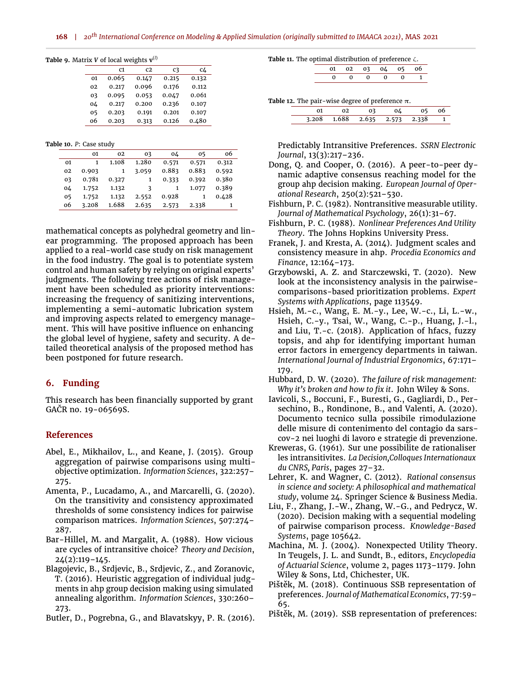<span id="page-6-19"></span>

|  |  |  | <b>Table 9.</b> Matrix V of local weights $\mathbf{v}^{(l)}$ |  |
|--|--|--|--------------------------------------------------------------|--|
|  |  |  |                                                              |  |

|    | C1    | C2    | C3    | c4    |
|----|-------|-------|-------|-------|
| 01 | 0.065 | 0.147 | 0.215 | 0.132 |
| 02 | 0.217 | 0.096 | 0.176 | 0.112 |
| 03 | 0.095 | 0.053 | 0.047 | 0.061 |
| 04 | 0.217 | 0.200 | 0.236 | 0.107 |
| 05 | 0.203 | 0.191 | 0.201 | 0.107 |
| 06 | 0.203 | 0.313 | 0.126 | 0.480 |

<span id="page-6-20"></span>**Table 10.** *P*: Case study

|    | 01    | 02           | 03    | 04    | 05    | 06    |
|----|-------|--------------|-------|-------|-------|-------|
| 01 |       | 1.108        | 1.280 | 0.571 | 0.571 | 0.312 |
| 02 | 0.903 | $\mathbf{1}$ | 3.059 | 0.883 | 0.883 | 0.592 |
| 03 | 0.781 | 0.327        | 1     | 0.333 | 0.392 | 0.380 |
| 04 | 1.752 | 1.132        | ζ     | 1     | 1.077 | 0.389 |
| 05 | 1.752 | 1.132        | 2.552 | 0.928 |       | 0.428 |
| 06 | 3.208 | 1.688        | 2.635 | 2.573 | 2.338 | 1     |

mathematical concepts as polyhedral geometry and linear programming. The proposed approach has been applied to a real-world case study on risk management in the food industry. The goal is to potentiate system control and human safety by relying on original experts' judgments. The following tree actions of risk management have been scheduled as priority interventions: increasing the frequency of sanitizing interventions, implementing a semi-automatic lubrication system and improving aspects related to emergency management. This will have positive influence on enhancing the global level of hygiene, safety and security. A detailed theoretical analysis of the proposed method has been postponed for future research.

## **6. Funding**

This research has been financially supported by grant GAČR no. 19-06569S.

## **References**

- <span id="page-6-16"></span>Abel, E., Mikhailov, L., and Keane, J. (2015). Group aggregation of pairwise comparisons using multiobjective optimization. *Information Sciences*, 322:257– 275.
- <span id="page-6-0"></span>Amenta, P., Lucadamo, A., and Marcarelli, G. (2020). On the transitivity and consistency approximated thresholds of some consistency indices for pairwise comparison matrices. *Information Sciences*, 507:274– 287.
- <span id="page-6-8"></span>Bar-Hillel, M. and Margalit, A. (1988). How vicious are cycles of intransitive choice? *Theory and Decision*, 24(2):119–145.
- <span id="page-6-15"></span>Blagojevic, B., Srdjevic, B., Srdjevic, Z., and Zoranovic, T. (2016). Heuristic aggregation of individual judgments in ahp group decision making using simulated annealing algorithm. *Information Sciences*, 330:260– 273.
- <span id="page-6-9"></span>Butler, D., Pogrebna, G., and Blavatskyy, P. R. (2016).

#### <span id="page-6-21"></span>**Table 11.** The optimal distribution of preference ζ.

<span id="page-6-22"></span>**Table 12.** The pair-wise degree of preference  $\pi$ .

|  | 3.208 1.688 2.635 2.573 2.338 |  |  |
|--|-------------------------------|--|--|

Predictably Intransitive Preferences. *SSRN Electronic Journal*, 13(3):217–236.

- <span id="page-6-1"></span>Dong, Q. and Cooper, O. (2016). A peer-to-peer dynamic adaptive consensus reaching model for the group ahp decision making. *European Journal of Operational Research*, 250(2):521–530.
- <span id="page-6-11"></span>Fishburn, P. C. (1982). Nontransitive measurable utility. *Journal of Mathematical Psychology*, 26(1):31–67.
- <span id="page-6-6"></span>Fishburn, P. C. (1988). *Nonlinear Preferences And Utility Theory*. The Johns Hopkins University Press.
- <span id="page-6-2"></span>Franek, J. and Kresta, A. (2014). Judgment scales and consistency measure in ahp. *Procedia Economics and Finance*, 12:164–173.
- <span id="page-6-3"></span>Grzybowski, A. Z. and Starczewski, T. (2020). New look at the inconsistency analysis in the pairwisecomparisons-based prioritization problems. *Expert Systems with Applications*, page 113549.
- <span id="page-6-5"></span>Hsieh, M.-c., Wang, E. M.-y., Lee, W.-c., Li, L.-w., Hsieh, C.-y., Tsai, W., Wang, C.-p., Huang, J.-l., and Liu, T.-c. (2018). Application of hfacs, fuzzy topsis, and ahp for identifying important human error factors in emergency departments in taiwan. *International Journal of Industrial Ergonomics*, 67:171– 179.
- <span id="page-6-12"></span>Hubbard, D. W. (2020). *The failure of risk management: Why it's broken and how to fix it. John Wiley & Sons.*
- <span id="page-6-18"></span>Iavicoli, S., Boccuni, F., Buresti, G., Gagliardi, D., Persechino, B., Rondinone, B., and Valenti, A. (2020). Documento tecnico sulla possibile rimodulazione delle misure di contenimento del contagio da sarscov-2 nei luoghi di lavoro e strategie di prevenzione.
- <span id="page-6-10"></span>Kreweras, G. (1961). Sur une possibilite de rationaliser les intransitivites. *La Decision,Colloques Internationaux du CNRS, Paris*, pages 27–32.
- <span id="page-6-17"></span>Lehrer, K. and Wagner, C. (2012). *Rational consensus in science and society: A philosophical and mathematical study*, volume 24. Springer Science & Business Media.
- <span id="page-6-4"></span>Liu, F., Zhang, J.-W., Zhang, W.-G., and Pedrycz, W. (2020). Decision making with a sequential modeling of pairwise comparison process. *Knowledge-Based Systems*, page 105642.
- <span id="page-6-7"></span>Machina, M. J. (2004). Nonexpected Utility Theory. In Teugels, J. L. and Sundt, B., editors, *Encyclopedia of Actuarial Science*, volume 2, pages 1173–1179. John Wiley & Sons, Ltd, Chichester, UK.
- <span id="page-6-13"></span>Pištěk, M. (2018). Continuous SSB representation of preferences. *Journal of Mathematical Economics*, 77:59– 65.
- <span id="page-6-14"></span>Pištěk, M. (2019). SSB representation of preferences: